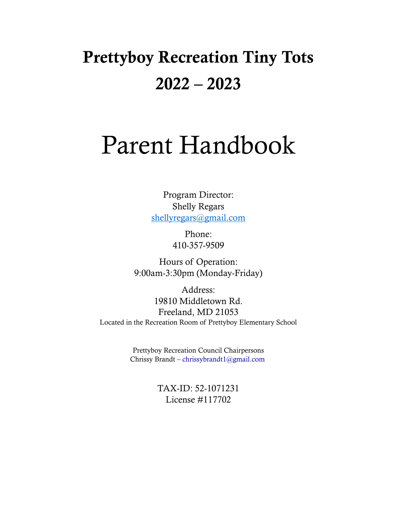# Prettyboy Recreation Tiny Tots 2022 – 2023

# Parent Handbook

Program Director: Shelly Regars [shellyregars@gmail.com](mailto:shellyregars@gmail.com)

> Phone: 410-357-9509

Hours of Operation: 9:00am-3:30pm (Monday-Friday)

Address: 19810 Middletown Rd. Freeland, MD 21053 Located in the Recreation Room of Prettyboy Elementary School

> Prettyboy Recreation Council Chairpersons Chrissy Brandt – chrissybrandt1@gmail.com

> > TAX-ID: 52-1071231 License #117702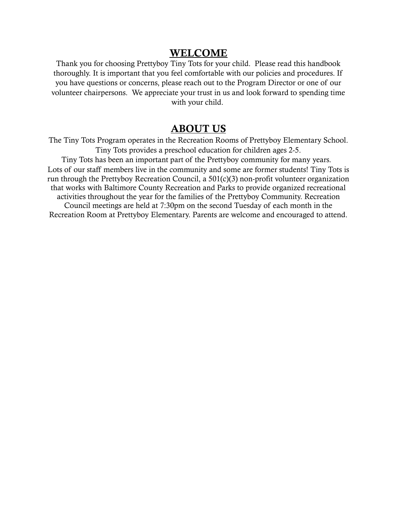#### WELCOME

Thank you for choosing Prettyboy Tiny Tots for your child. Please read this handbook thoroughly. It is important that you feel comfortable with our policies and procedures. If you have questions or concerns, please reach out to the Program Director or one of our volunteer chairpersons. We appreciate your trust in us and look forward to spending time with your child.

#### ABOUT US

The Tiny Tots Program operates in the Recreation Rooms of Prettyboy Elementary School. Tiny Tots provides a preschool education for children ages 2-5. Tiny Tots has been an important part of the Prettyboy community for many years. Lots of our staff members live in the community and some are former students! Tiny Tots is run through the Prettyboy Recreation Council, a 501(c)(3) non-profit volunteer organization that works with Baltimore County Recreation and Parks to provide organized recreational activities throughout the year for the families of the Prettyboy Community. Recreation Council meetings are held at 7:30pm on the second Tuesday of each month in the Recreation Room at Prettyboy Elementary. Parents are welcome and encouraged to attend.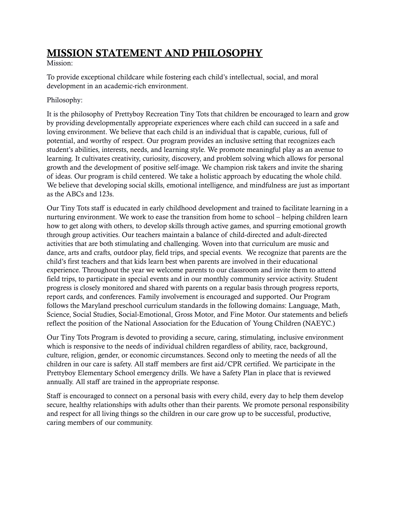## MISSION STATEMENT AND PHILOSOPHY

#### Mission:

To provide exceptional childcare while fostering each child's intellectual, social, and moral development in an academic-rich environment.

#### Philosophy:

It is the philosophy of Prettyboy Recreation Tiny Tots that children be encouraged to learn and grow by providing developmentally appropriate experiences where each child can succeed in a safe and loving environment. We believe that each child is an individual that is capable, curious, full of potential, and worthy of respect. Our program provides an inclusive setting that recognizes each student's abilities, interests, needs, and learning style. We promote meaningful play as an avenue to learning. It cultivates creativity, curiosity, discovery, and problem solving which allows for personal growth and the development of positive self-image. We champion risk takers and invite the sharing of ideas. Our program is child centered. We take a holistic approach by educating the whole child. We believe that developing social skills, emotional intelligence, and mindfulness are just as important as the ABCs and 123s.

Our Tiny Tots staff is educated in early childhood development and trained to facilitate learning in a nurturing environment. We work to ease the transition from home to school – helping children learn how to get along with others, to develop skills through active games, and spurring emotional growth through group activities. Our teachers maintain a balance of child-directed and adult-directed activities that are both stimulating and challenging. Woven into that curriculum are music and dance, arts and crafts, outdoor play, field trips, and special events. We recognize that parents are the child's first teachers and that kids learn best when parents are involved in their educational experience. Throughout the year we welcome parents to our classroom and invite them to attend field trips, to participate in special events and in our monthly community service activity. Student progress is closely monitored and shared with parents on a regular basis through progress reports, report cards, and conferences. Family involvement is encouraged and supported. Our Program follows the Maryland preschool curriculum standards in the following domains: Language, Math, Science, Social Studies, Social-Emotional, Gross Motor, and Fine Motor. Our statements and beliefs reflect the position of the National Association for the Education of Young Children (NAEYC.)

Our Tiny Tots Program is devoted to providing a secure, caring, stimulating, inclusive environment which is responsive to the needs of individual children regardless of ability, race, background, culture, religion, gender, or economic circumstances. Second only to meeting the needs of all the children in our care is safety. All staff members are first aid/CPR certified. We participate in the Prettyboy Elementary School emergency drills. We have a Safety Plan in place that is reviewed annually. All staff are trained in the appropriate response.

Staff is encouraged to connect on a personal basis with every child, every day to help them develop secure, healthy relationships with adults other than their parents. We promote personal responsibility and respect for all living things so the children in our care grow up to be successful, productive, caring members of our community.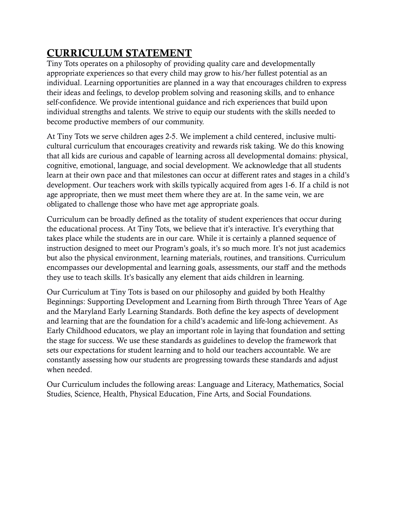# CURRICULUM STATEMENT

Tiny Tots operates on a philosophy of providing quality care and developmentally appropriate experiences so that every child may grow to his/her fullest potential as an individual. Learning opportunities are planned in a way that encourages children to express their ideas and feelings, to develop problem solving and reasoning skills, and to enhance self-confidence. We provide intentional guidance and rich experiences that build upon individual strengths and talents. We strive to equip our students with the skills needed to become productive members of our community.

At Tiny Tots we serve children ages 2-5. We implement a child centered, inclusive multicultural curriculum that encourages creativity and rewards risk taking. We do this knowing that all kids are curious and capable of learning across all developmental domains: physical, cognitive, emotional, language, and social development. We acknowledge that all students learn at their own pace and that milestones can occur at different rates and stages in a child's development. Our teachers work with skills typically acquired from ages 1-6. If a child is not age appropriate, then we must meet them where they are at. In the same vein, we are obligated to challenge those who have met age appropriate goals.

Curriculum can be broadly defined as the totality of student experiences that occur during the educational process. At Tiny Tots, we believe that it's interactive. It's everything that takes place while the students are in our care. While it is certainly a planned sequence of instruction designed to meet our Program's goals, it's so much more. It's not just academics but also the physical environment, learning materials, routines, and transitions. Curriculum encompasses our developmental and learning goals, assessments, our staff and the methods they use to teach skills. It's basically any element that aids children in learning.

Our Curriculum at Tiny Tots is based on our philosophy and guided by both Healthy Beginnings: Supporting Development and Learning from Birth through Three Years of Age and the Maryland Early Learning Standards. Both define the key aspects of development and learning that are the foundation for a child's academic and life-long achievement. As Early Childhood educators, we play an important role in laying that foundation and setting the stage for success. We use these standards as guidelines to develop the framework that sets our expectations for student learning and to hold our teachers accountable. We are constantly assessing how our students are progressing towards these standards and adjust when needed.

Our Curriculum includes the following areas: Language and Literacy, Mathematics, Social Studies, Science, Health, Physical Education, Fine Arts, and Social Foundations.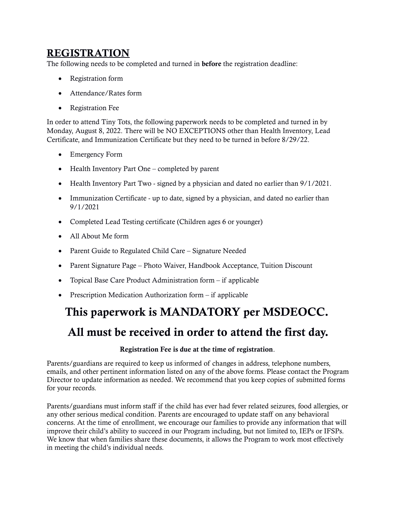#### REGISTRATION

The following needs to be completed and turned in before the registration deadline:

- Registration form
- Attendance/Rates form
- Registration Fee

In order to attend Tiny Tots, the following paperwork needs to be completed and turned in by Monday, August 8, 2022. There will be NO EXCEPTIONS other than Health Inventory, Lead Certificate, and Immunization Certificate but they need to be turned in before 8/29/22.

- Emergency Form
- Health Inventory Part One completed by parent
- Health Inventory Part Two signed by a physician and dated no earlier than 9/1/2021.
- Immunization Certificate up to date, signed by a physician, and dated no earlier than 9/1/2021
- Completed Lead Testing certificate (Children ages 6 or younger)
- All About Me form
- Parent Guide to Regulated Child Care Signature Needed
- Parent Signature Page Photo Waiver, Handbook Acceptance, Tuition Discount
- Topical Base Care Product Administration form if applicable
- Prescription Medication Authorization form if applicable

# This paperwork is MANDATORY per MSDEOCC.

# All must be received in order to attend the first day.

#### Registration Fee is due at the time of registration.

Parents/guardians are required to keep us informed of changes in address, telephone numbers, emails, and other pertinent information listed on any of the above forms. Please contact the Program Director to update information as needed. We recommend that you keep copies of submitted forms for your records.

Parents/guardians must inform staff if the child has ever had fever related seizures, food allergies, or any other serious medical condition. Parents are encouraged to update staff on any behavioral concerns. At the time of enrollment, we encourage our families to provide any information that will improve their child's ability to succeed in our Program including, but not limited to, IEPs or IFSPs. We know that when families share these documents, it allows the Program to work most effectively in meeting the child's individual needs.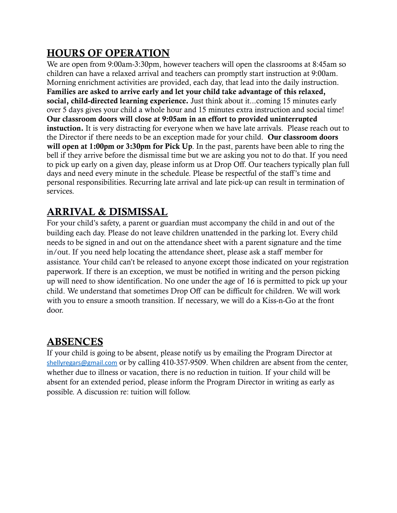## HOURS OF OPERATION

We are open from 9:00am-3:30pm, however teachers will open the classrooms at 8:45am so children can have a relaxed arrival and teachers can promptly start instruction at 9:00am. Morning enrichment activities are provided, each day, that lead into the daily instruction. Families are asked to arrive early and let your child take advantage of this relaxed, social, child-directed learning experience. Just think about it...coming 15 minutes early over 5 days gives your child a whole hour and 15 minutes extra instruction and social time! Our classroom doors will close at 9:05am in an effort to provided uninterrupted instuction. It is very distracting for everyone when we have late arrivals. Please reach out to the Director if there needs to be an exception made for your child. Our classroom doors will open at 1:00pm or 3:30pm for Pick Up. In the past, parents have been able to ring the bell if they arrive before the dismissal time but we are asking you not to do that. If you need to pick up early on a given day, please inform us at Drop Off. Our teachers typically plan full days and need every minute in the schedule. Please be respectful of the staff's time and personal responsibilities. Recurring late arrival and late pick-up can result in termination of services.

## ARRIVAL & DISMISSAL

For your child's safety, a parent or guardian must accompany the child in and out of the building each day. Please do not leave children unattended in the parking lot. Every child needs to be signed in and out on the attendance sheet with a parent signature and the time in/out. If you need help locating the attendance sheet, please ask a staff member for assistance. Your child can't be released to anyone except those indicated on your registration paperwork. If there is an exception, we must be notified in writing and the person picking up will need to show identification. No one under the age of 16 is permitted to pick up your child. We understand that sometimes Drop Off can be difficult for children. We will work with you to ensure a smooth transition. If necessary, we will do a Kiss-n-Go at the front door.

#### ABSENCES

If your child is going to be absent, please notify us by emailing the Program Director at [shellyregars@gmail.com](mailto:shellyregars@gmail.com) or by calling 410-357-9509. When children are absent from the center, whether due to illness or vacation, there is no reduction in tuition. If your child will be absent for an extended period, please inform the Program Director in writing as early as possible. A discussion re: tuition will follow.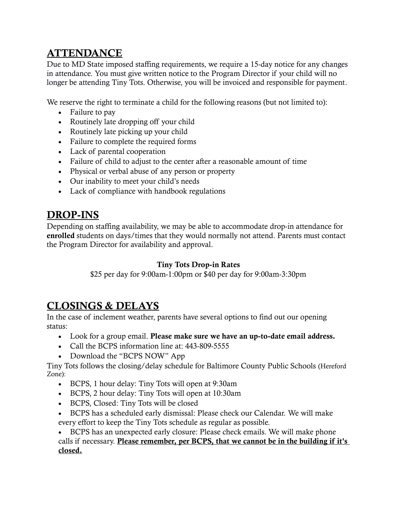## ATTENDANCE

Due to MD State imposed staffing requirements, we require a 15-day notice for any changes in attendance. You must give written notice to the Program Director if your child will no longer be attending Tiny Tots. Otherwise, you will be invoiced and responsible for payment.

We reserve the right to terminate a child for the following reasons (but not limited to):

- Failure to pay
- Routinely late dropping off your child
- Routinely late picking up your child
- Failure to complete the required forms
- Lack of parental cooperation
- Failure of child to adjust to the center after a reasonable amount of time
- Physical or verbal abuse of any person or property
- Our inability to meet your child's needs
- Lack of compliance with handbook regulations

#### DROP-INS

Depending on staffing availability, we may be able to accommodate drop-in attendance for enrolled students on days/times that they would normally not attend. Parents must contact the Program Director for availability and approval.

#### Tiny Tots Drop-in Rates

\$25 per day for 9:00am-1:00pm or \$40 per day for 9:00am-3:30pm

## CLOSINGS & DELAYS

In the case of inclement weather, parents have several options to find out our opening status:

- Look for a group email. Please make sure we have an up-to-date email address.
- Call the BCPS information line at: 443-809-5555
- Download the "BCPS NOW" App

Tiny Tots follows the closing/delay schedule for Baltimore County Public Schools (Hereford Zone):

- BCPS, 1 hour delay: Tiny Tots will open at 9:30am
- BCPS, 2 hour delay: Tiny Tots will open at 10:30am
- BCPS, Closed: Tiny Tots will be closed
- BCPS has a scheduled early dismissal: Please check our Calendar. We will make every effort to keep the Tiny Tots schedule as regular as possible.

 BCPS has an unexpected early closure: Please check emails. We will make phone calls if necessary. Please remember, per BCPS, that we cannot be in the building if it's closed.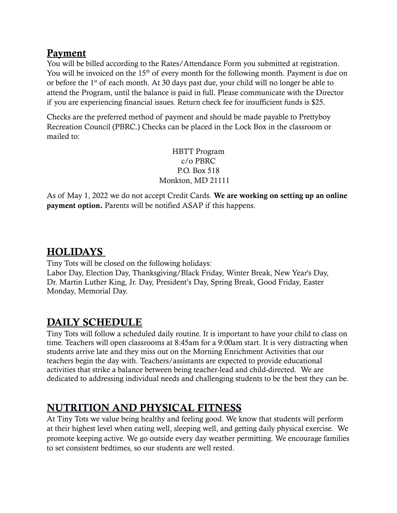#### Payment

You will be billed according to the Rates/Attendance Form you submitted at registration. You will be invoiced on the  $15<sup>th</sup>$  of every month for the following month. Payment is due on or before the 1<sup>st</sup> of each month. At 30 days past due, your child will no longer be able to attend the Program, until the balance is paid in full. Please communicate with the Director if you are experiencing financial issues. Return check fee for insufficient funds is \$25.

Checks are the preferred method of payment and should be made payable to Prettyboy Recreation Council (PBRC.) Checks can be placed in the Lock Box in the classroom or mailed to:

> HBTT Program c/o PBRC P.O. Box 518 Monkton, MD 21111

As of May 1, 2022 we do not accept Credit Cards. We are working on setting up an online payment option. Parents will be notified ASAP if this happens.

## **HOLIDAYS**

Tiny Tots will be closed on the following holidays: Labor Day, Election Day, Thanksgiving/Black Friday, Winter Break, New Year's Day, Dr. Martin Luther King, Jr. Day, President's Day, Spring Break, Good Friday, Easter Monday, Memorial Day.

## DAILY SCHEDULE

Tiny Tots will follow a scheduled daily routine. It is important to have your child to class on time. Teachers will open classrooms at 8:45am for a 9:00am start. It is very distracting when students arrive late and they miss out on the Morning Enrichment Activities that our teachers begin the day with. Teachers/assistants are expected to provide educational activities that strike a balance between being teacher-lead and child-directed. We are dedicated to addressing individual needs and challenging students to be the best they can be.

## NUTRITION AND PHYSICAL FITNESS

At Tiny Tots we value being healthy and feeling good. We know that students will perform at their highest level when eating well, sleeping well, and getting daily physical exercise. We promote keeping active. We go outside every day weather permitting. We encourage families to set consistent bedtimes, so our students are well rested.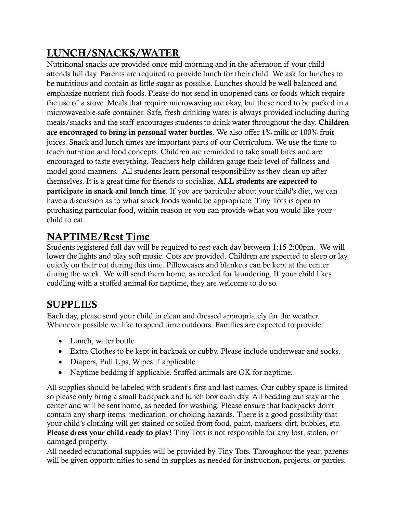# LUNCH/SNACKS/WATER

Nutritional snacks are provided once mid-morning and in the afternoon if your child attends full day. Parents are required to provide lunch for their child. We ask for lunches to be nutritious and contain as little sugar as possible. Lunches should be well balanced and emphasize nutrient-rich foods. Please do not send in unopened cans or foods which require the use of a stove. Meals that require microwaving are okay, but these need to be packed in a microwaveable-safe container. Safe, fresh drinking water is always provided including during meals/snacks and the staff encourages students to drink water throughout the day. Children are encouraged to bring in personal water bottles. We also offer 1% milk or 100% fruit juices. Snack and lunch times are important parts of our Curriculum. We use the time to teach nutrition and food concepts. Children are reminded to take small bites and are encouraged to taste everything. Teachers help children gauge their level of fullness and model good manners. All students learn personal responsibility as they clean up after themselves. It is a great time for friends to socialize. ALL students are expected to participate in snack and lunch time. If you are particular about your child's diet, we can have a discussion as to what snack foods would be appropriate. Tiny Tots is open to purchasing particular food, within reason or you can provide what you would like your child to eat.

## NAPTIME/Rest Time

Students registered full day will be required to rest each day between 1:15-2:00pm. We will lower the lights and play soft music. Cots are provided. Children are expected to sleep or lay quietly on their cot during this time. Pillowcases and blankets can be kept at the center during the week. We will send them home, as needed for laundering. If your child likes cuddling with a stuffed animal for naptime, they are welcome to do so.

#### **SUPPLIES**

Each day, please send your child in clean and dressed appropriately for the weather. Whenever possible we like to spend time outdoors. Families are expected to provide:

- Lunch, water bottle
- Extra Clothes to be kept in backpak or cubby. Please include underwear and socks.
- Diapers, Pull Ups, Wipes if applicable
- Naptime bedding if applicable. Stuffed animals are OK for naptime.

All supplies should be labeled with student's first and last names. Our cubby space is limited so please only bring a small backpack and lunch box each day. All bedding can stay at the center and will be sent home, as needed for washing. Please ensure that backpacks don't contain any sharp items, medication, or choking hazards. There is a good possibility that your child's clothing will get stained or soiled from food, paint, markers, dirt, bubbles, etc. Please dress your child ready to play! Tiny Tots is not responsible for any lost, stolen, or damaged property.

All needed educational supplies will be provided by Tiny Tots. Throughout the year, parents will be given opportunities to send in supplies as needed for instruction, projects, or parties.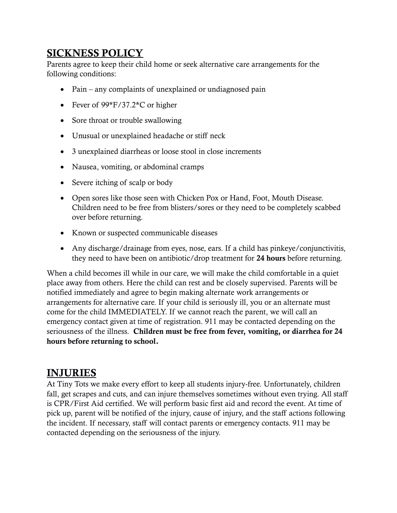#### SICKNESS POLICY

Parents agree to keep their child home or seek alternative care arrangements for the following conditions:

- Pain any complaints of unexplained or undiagnosed pain
- Fever of  $99*F/37.2*C$  or higher
- Sore throat or trouble swallowing
- Unusual or unexplained headache or stiff neck
- 3 unexplained diarrheas or loose stool in close increments
- Nausea, vomiting, or abdominal cramps
- Severe itching of scalp or body
- Open sores like those seen with Chicken Pox or Hand, Foot, Mouth Disease. Children need to be free from blisters/sores or they need to be completely scabbed over before returning.
- Known or suspected communicable diseases
- Any discharge/drainage from eyes, nose, ears. If a child has pinkeye/conjunctivitis, they need to have been on antibiotic/drop treatment for 24 hours before returning.

When a child becomes ill while in our care, we will make the child comfortable in a quiet place away from others. Here the child can rest and be closely supervised. Parents will be notified immediately and agree to begin making alternate work arrangements or arrangements for alternative care. If your child is seriously ill, you or an alternate must come for the child IMMEDIATELY. If we cannot reach the parent, we will call an emergency contact given at time of registration. 911 may be contacted depending on the seriousness of the illness. Children must be free from fever, vomiting, or diarrhea for 24 hours before returning to school.

#### INJURIES

At Tiny Tots we make every effort to keep all students injury-free. Unfortunately, children fall, get scrapes and cuts, and can injure themselves sometimes without even trying. All staff is CPR/First Aid certified. We will perform basic first aid and record the event. At time of pick up, parent will be notified of the injury, cause of injury, and the staff actions following the incident. If necessary, staff will contact parents or emergency contacts. 911 may be contacted depending on the seriousness of the injury.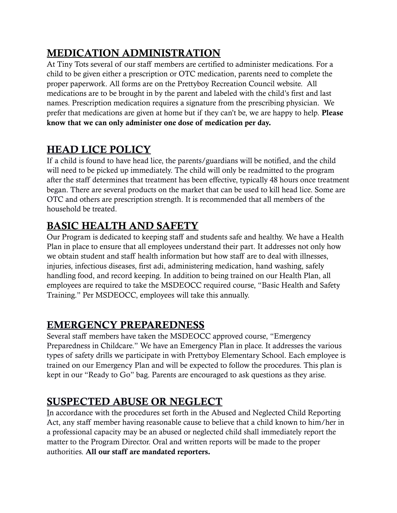# MEDICATION ADMINISTRATION

At Tiny Tots several of our staff members are certified to administer medications. For a child to be given either a prescription or OTC medication, parents need to complete the proper paperwork. All forms are on the Prettyboy Recreation Council website. All medications are to be brought in by the parent and labeled with the child's first and last names. Prescription medication requires a signature from the prescribing physician. We prefer that medications are given at home but if they can't be, we are happy to help. Please know that we can only administer one dose of medication per day.

## HEAD LICE POLICY

If a child is found to have head lice, the parents/guardians will be notified, and the child will need to be picked up immediately. The child will only be readmitted to the program after the staff determines that treatment has been effective, typically 48 hours once treatment began. There are several products on the market that can be used to kill head lice. Some are OTC and others are prescription strength. It is recommended that all members of the household be treated.

## BASIC HEALTH AND SAFETY

Our Program is dedicated to keeping staff and students safe and healthy. We have a Health Plan in place to ensure that all employees understand their part. It addresses not only how we obtain student and staff health information but how staff are to deal with illnesses, injuries, infectious diseases, first adi, administering medication, hand washing, safely handling food, and record keeping. In addition to being trained on our Health Plan, all employees are required to take the MSDEOCC required course, "Basic Health and Safety Training." Per MSDEOCC, employees will take this annually.

## EMERGENCY PREPAREDNESS

Several staff members have taken the MSDEOCC approved course, "Emergency Preparedness in Childcare." We have an Emergency Plan in place. It addresses the various types of safety drills we participate in with Prettyboy Elementary School. Each employee is trained on our Emergency Plan and will be expected to follow the procedures. This plan is kept in our "Ready to Go" bag. Parents are encouraged to ask questions as they arise.

## SUSPECTED ABUSE OR NEGLECT

In accordance with the procedures set forth in the Abused and Neglected Child Reporting Act, any staff member having reasonable cause to believe that a child known to him/her in a professional capacity may be an abused or neglected child shall immediately report the matter to the Program Director. Oral and written reports will be made to the proper authorities. All our staff are mandated reporters.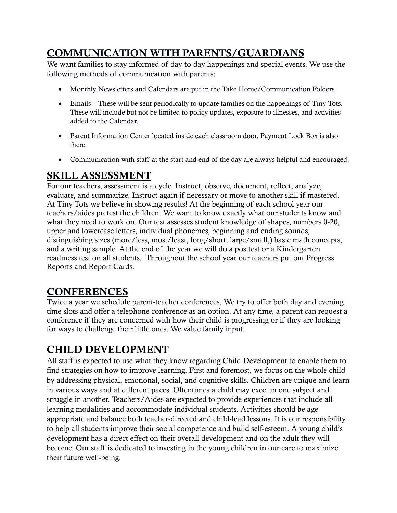## COMMUNICATION WITH PARENTS/GUARDIANS

We want families to stay informed of day-to-day happenings and special events. We use the following methods of communication with parents:

- Monthly Newsletters and Calendars are put in the Take Home/Communication Folders.
- Emails These will be sent periodically to update families on the happenings of Tiny Tots. These will include but not be limited to policy updates, exposure to illnesses, and activities added to the Calendar.
- Parent Information Center located inside each classroom door. Payment Lock Box is also there.
- Communication with staff at the start and end of the day are always helpful and encouraged.

## SKILL ASSESSMENT

For our teachers, assessment is a cycle. Instruct, observe, document, reflect, analyze, evaluate, and summarize. Instruct again if necessary or move to another skill if mastered. At Tiny Tots we believe in showing results! At the beginning of each school year our teachers/aides pretest the children. We want to know exactly what our students know and what they need to work on. Our test assesses student knowledge of shapes, numbers 0-20, upper and lowercase letters, individual phonemes, beginning and ending sounds, distinguishing sizes (more/less, most/least, long/short, large/small,) basic math concepts, and a writing sample. At the end of the year we will do a posttest or a Kindergarten readiness test on all students. Throughout the school year our teachers put out Progress Reports and Report Cards.

## **CONFERENCES**

Twice a year we schedule parent-teacher conferences. We try to offer both day and evening time slots and offer a telephone conference as an option. At any time, a parent can request a conference if they are concerned with how their child is progressing or if they are looking for ways to challenge their little ones. We value family input.

# CHILD DEVELOPMENT

All staff is expected to use what they know regarding Child Development to enable them to find strategies on how to improve learning. First and foremost, we focus on the whole child by addressing physical, emotional, social, and cognitive skills. Children are unique and learn in various ways and at different paces. Oftentimes a child may excel in one subject and struggle in another. Teachers/Aides are expected to provide experiences that include all learning modalities and accommodate individual students. Activities should be age appropriate and balance both teacher-directed and child-lead lessons. It is our responsibility to help all students improve their social competence and build self-esteem. A young child's development has a direct effect on their overall development and on the adult they will become. Our staff is dedicated to investing in the young children in our care to maximize their future well-being.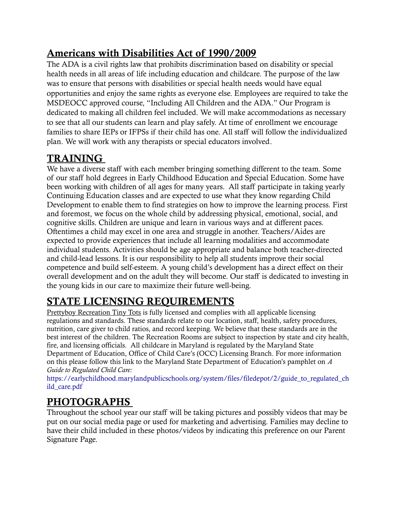## Americans with Disabilities Act of 1990/2009

The ADA is a civil rights law that prohibits discrimination based on disability or special health needs in all areas of life including education and childcare. The purpose of the law was to ensure that persons with disabilities or special health needs would have equal opportunities and enjoy the same rights as everyone else. Employees are required to take the MSDEOCC approved course, "Including All Children and the ADA." Our Program is dedicated to making all children feel included. We will make accommodations as necessary to see that all our students can learn and play safely. At time of enrollment we encourage families to share IEPs or IFPSs if their child has one. All staff will follow the individualized plan. We will work with any therapists or special educators involved.

# TRAINING

We have a diverse staff with each member bringing something different to the team. Some of our staff hold degrees in Early Childhood Education and Special Education. Some have been working with children of all ages for many years. All staff participate in taking yearly Continuing Education classes and are expected to use what they know regarding Child Development to enable them to find strategies on how to improve the learning process. First and foremost, we focus on the whole child by addressing physical, emotional, social, and cognitive skills. Children are unique and learn in various ways and at different paces. Oftentimes a child may excel in one area and struggle in another. Teachers/Aides are expected to provide experiences that include all learning modalities and accommodate individual students. Activities should be age appropriate and balance both teacher-directed and child-lead lessons. It is our responsibility to help all students improve their social competence and build self-esteem. A young child's development has a direct effect on their overall development and on the adult they will become. Our staff is dedicated to investing in the young kids in our care to maximize their future well-being.

# STATE LICENSING REQUIREMENTS

Prettyboy Recreation Tiny Tots is fully licensed and complies with all applicable licensing regulations and standards. These standards relate to our location, staff, health, safety procedures, nutrition, care giver to child ratios, and record keeping. We believe that these standards are in the best interest of the children. The Recreation Rooms are subject to inspection by state and city health, fire, and licensing officials. All childcare in Maryland is regulated by the Maryland State Department of Education, Office of Child Care's (OCC) Licensing Branch. For more information on this please follow this link to the Maryland State Department of Education's pamphlet on *A Guide to Regulated Child Care:*

[https://earlychildhood.marylandpublicschools.org/system/files/filedepot/2/guide\\_to\\_regulated\\_ch](https://earlychildhood.marylandpublicschools.org/system/files/filedepot/2/guide_to_regulated_child_care.pdf) [ild\\_care.pdf](https://earlychildhood.marylandpublicschools.org/system/files/filedepot/2/guide_to_regulated_child_care.pdf)

# PHOTOGRAPHS

Throughout the school year our staff will be taking pictures and possibly videos that may be put on our social media page or used for marketing and advertising. Families may decline to have their child included in these photos/videos by indicating this preference on our Parent Signature Page.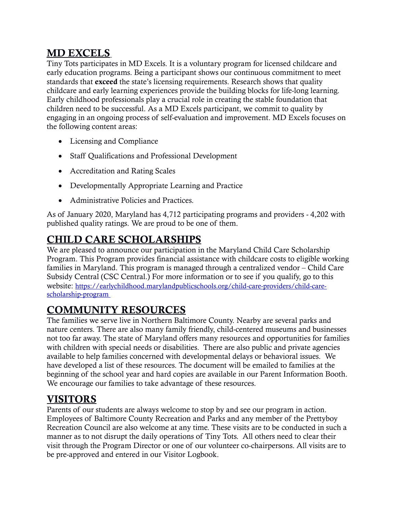## MD EXCELS

Tiny Tots participates in MD Excels. It is a voluntary program for licensed childcare and early education programs. Being a participant shows our continuous commitment to meet standards that exceed the state's licensing requirements. Research shows that quality childcare and early learning experiences provide the building blocks for life-long learning. Early childhood professionals play a crucial role in creating the stable foundation that children need to be successful. As a MD Excels participant, we commit to quality by engaging in an ongoing process of self-evaluation and improvement. MD Excels focuses on the following content areas:

- Licensing and Compliance
- Staff Qualifications and Professional Development
- Accreditation and Rating Scales
- Developmentally Appropriate Learning and Practice
- Administrative Policies and Practices.

As of January 2020, Maryland has 4,712 participating programs and providers - 4,202 with published quality ratings. We are proud to be one of them.

## CHILD CARE SCHOLARSHIPS

We are pleased to announce our participation in the Maryland Child Care Scholarship Program. This Program provides financial assistance with childcare costs to eligible working families in Maryland. This program is managed through a centralized vendor – Child Care Subsidy Central (CSC Central.) For more information or to see if you qualify, go to this website: https://earlychildhood.marylandpublicschools.org/child-care-providers/child-carescholarship-program

## COMMUNITY RESOURCES

The families we serve live in Northern Baltimore County. Nearby are several parks and nature centers. There are also many family friendly, child-centered museums and businesses not too far away. The state of Maryland offers many resources and opportunities for families with children with special needs or disabilities. There are also public and private agencies available to help families concerned with developmental delays or behavioral issues. We have developed a list of these resources. The document will be emailed to families at the beginning of the school year and hard copies are available in our Parent Information Booth. We encourage our families to take advantage of these resources.

## VISITORS

Parents of our students are always welcome to stop by and see our program in action. Employees of Baltimore County Recreation and Parks and any member of the Prettyboy Recreation Council are also welcome at any time. These visits are to be conducted in such a manner as to not disrupt the daily operations of Tiny Tots. All others need to clear their visit through the Program Director or one of our volunteer co-chairpersons. All visits are to be pre-approved and entered in our Visitor Logbook.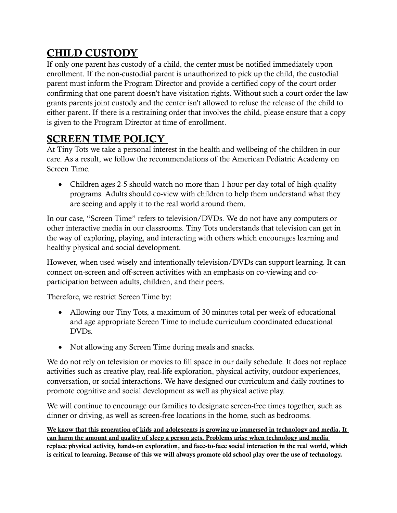# CHILD CUSTODY

If only one parent has custody of a child, the center must be notified immediately upon enrollment. If the non-custodial parent is unauthorized to pick up the child, the custodial parent must inform the Program Director and provide a certified copy of the court order confirming that one parent doesn't have visitation rights. Without such a court order the law grants parents joint custody and the center isn't allowed to refuse the release of the child to either parent. If there is a restraining order that involves the child, please ensure that a copy is given to the Program Director at time of enrollment.

## SCREEN TIME POLICY

At Tiny Tots we take a personal interest in the health and wellbeing of the children in our care. As a result, we follow the recommendations of the American Pediatric Academy on Screen Time.

• Children ages 2-5 should watch no more than 1 hour per day total of high-quality programs. Adults should co-view with children to help them understand what they are seeing and apply it to the real world around them.

In our case, "Screen Time" refers to television/DVDs. We do not have any computers or other interactive media in our classrooms. Tiny Tots understands that television can get in the way of exploring, playing, and interacting with others which encourages learning and healthy physical and social development.

However, when used wisely and intentionally television/DVDs can support learning. It can connect on-screen and off-screen activities with an emphasis on co-viewing and coparticipation between adults, children, and their peers.

Therefore, we restrict Screen Time by:

- Allowing our Tiny Tots, a maximum of 30 minutes total per week of educational and age appropriate Screen Time to include curriculum coordinated educational DVDs.
- Not allowing any Screen Time during meals and snacks.

We do not rely on television or movies to fill space in our daily schedule. It does not replace activities such as creative play, real-life exploration, physical activity, outdoor experiences, conversation, or social interactions. We have designed our curriculum and daily routines to promote cognitive and social development as well as physical active play.

We will continue to encourage our families to designate screen-free times together, such as dinner or driving, as well as screen-free locations in the home, such as bedrooms.

We know that this generation of kids and adolescents is growing up immersed in technology and media. It can harm the amount and quality of sleep a person gets. Problems arise when technology and media replace physical activity, hands-on exploration, and face-to-face social interaction in the real world, which is critical to learning. Because of this we will always promote old school play over the use of technology.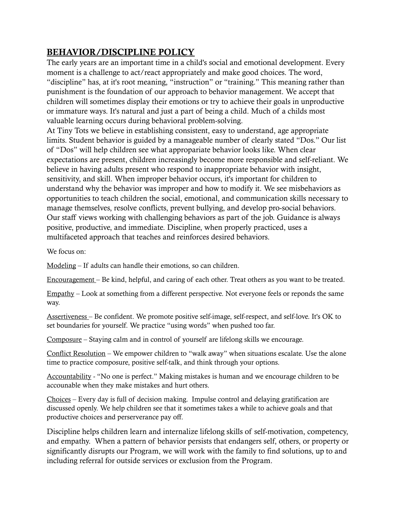#### BEHAVIOR/DISCIPLINE POLICY

The early years are an important time in a child's social and emotional development. Every moment is a challenge to act/react appropriately and make good choices. The word, "discipline" has, at it's root meaning, "instruction" or "training." This meaning rather than punishment is the foundation of our approach to behavior management. We accept that children will sometimes display their emotions or try to achieve their goals in unproductive or immature ways. It's natural and just a part of being a child. Much of a childs most valuable learning occurs during behavioral problem-solving.

At Tiny Tots we believe in establishing consistent, easy to understand, age appropriate limits. Student behavior is guided by a manageable number of clearly stated "Dos." Our list of "Dos" will help children see what appropariate behavior looks like. When clear expectations are present, children increasingly become more responsible and self-reliant. We believe in having adults present who respond to inappropriate behavior with insight, sensitivity, and skill. When improper behavior occurs, it's important for children to understand why the behavior was improper and how to modify it. We see misbehaviors as opportunities to teach children the social, emotional, and communication skills necessary to manage themselves, resolve conflicts, prevent bullying, and develop pro-social behaviors. Our staff views working with challenging behaviors as part of the job. Guidance is always positive, productive, and immediate. Discipline, when properly practiced, uses a multifaceted approach that teaches and reinforces desired behaviors.

We focus on:

Modeling – If adults can handle their emotions, so can children.

Encouragement – Be kind, helpful, and caring of each other. Treat others as you want to be treated.

Empathy – Look at something from a different perspective. Not everyone feels or reponds the same way.

Assertiveness – Be confident. We promote positive self-image, self-respect, and self-love. It's OK to set boundaries for yourself. We practice "using words" when pushed too far.

Composure – Staying calm and in control of yourself are lifelong skills we encourage.

Conflict Resolution – We empower children to "walk away" when situations escalate. Use the alone time to practice composure, positive self-talk, and think through your options.

Accountability - "No one is perfect." Making mistakes is human and we encourage children to be accounable when they make mistakes and hurt others.

Choices – Every day is full of decision making. Impulse control and delaying gratification are discussed openly. We help children see that it sometimes takes a while to achieve goals and that productive choices and perserverance pay off.

Discipline helps children learn and internalize lifelong skills of self-motivation, competency, and empathy. When a pattern of behavior persists that endangers self, others, or property or significantly disrupts our Program, we will work with the family to find solutions, up to and including referral for outside services or exclusion from the Program.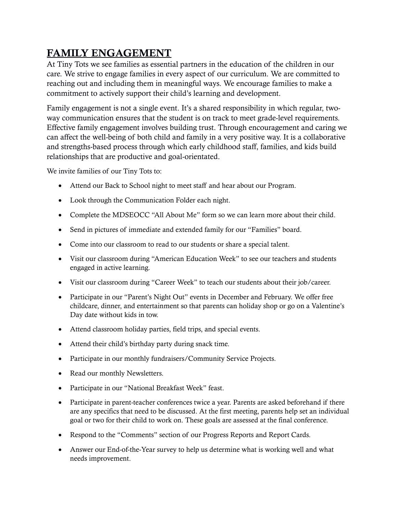## FAMILY ENGAGEMENT

At Tiny Tots we see families as essential partners in the education of the children in our care. We strive to engage families in every aspect of our curriculum. We are committed to reaching out and including them in meaningful ways. We encourage families to make a commitment to actively support their child's learning and development.

Family engagement is not a single event. It's a shared responsibility in which regular, twoway communication ensures that the student is on track to meet grade-level requirements. Effective family engagement involves building trust. Through encouragement and caring we can affect the well-being of both child and family in a very positive way. It is a collaborative and strengths-based process through which early childhood staff, families, and kids build relationships that are productive and goal-orientated.

We invite families of our Tiny Tots to:

- Attend our Back to School night to meet staff and hear about our Program.
- Look through the Communication Folder each night.
- Complete the MDSEOCC "All About Me" form so we can learn more about their child.
- Send in pictures of immediate and extended family for our "Families" board.
- Come into our classroom to read to our students or share a special talent.
- Visit our classroom during "American Education Week" to see our teachers and students engaged in active learning.
- Visit our classroom during "Career Week" to teach our students about their job/career.
- Participate in our "Parent's Night Out" events in December and February. We offer free childcare, dinner, and entertainment so that parents can holiday shop or go on a Valentine's Day date without kids in tow.
- Attend classroom holiday parties, field trips, and special events.
- Attend their child's birthday party during snack time.
- Participate in our monthly fundraisers/Community Service Projects.
- Read our monthly Newsletters.
- Participate in our "National Breakfast Week" feast.
- Participate in parent-teacher conferences twice a year. Parents are asked beforehand if there are any specifics that need to be discussed. At the first meeting, parents help set an individual goal or two for their child to work on. These goals are assessed at the final conference.
- Respond to the "Comments" section of our Progress Reports and Report Cards.
- Answer our End-of-the-Year survey to help us determine what is working well and what needs improvement.